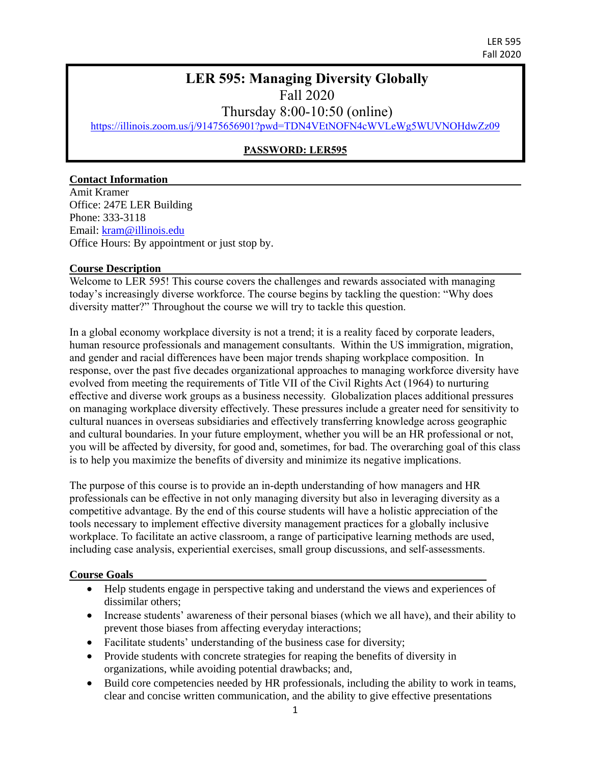LER 595 Fall 2020

### **LER 595: Managing Diversity Globally**  Fall 2020

Thursday 8:00-10:50 (online)

<https://illinois.zoom.us/j/91475656901?pwd=TDN4VEtNOFN4cWVLeWg5WUVNOHdwZz09>

### **PASSWORD: LER595**

#### **Contact Information**

Amit Kramer Office: 247E LER Building Phone: 333-3118 Email: [kram@illinois.edu](mailto:kram@illinois.edu) Office Hours: By appointment or just stop by.

#### **Course Description**

Welcome to LER 595! This course covers the challenges and rewards associated with managing today's increasingly diverse workforce. The course begins by tackling the question: "Why does diversity matter?" Throughout the course we will try to tackle this question.

In a global economy workplace diversity is not a trend; it is a reality faced by corporate leaders, human resource professionals and management consultants. Within the US immigration, migration, and gender and racial differences have been major trends shaping workplace composition. In response, over the past five decades organizational approaches to managing workforce diversity have evolved from meeting the requirements of Title VII of the Civil Rights Act (1964) to nurturing effective and diverse work groups as a business necessity. Globalization places additional pressures on managing workplace diversity effectively. These pressures include a greater need for sensitivity to cultural nuances in overseas subsidiaries and effectively transferring knowledge across geographic and cultural boundaries. In your future employment, whether you will be an HR professional or not, you will be affected by diversity, for good and, sometimes, for bad. The overarching goal of this class is to help you maximize the benefits of diversity and minimize its negative implications.

The purpose of this course is to provide an in-depth understanding of how managers and HR professionals can be effective in not only managing diversity but also in leveraging diversity as a competitive advantage. By the end of this course students will have a holistic appreciation of the tools necessary to implement effective diversity management practices for a globally inclusive workplace. To facilitate an active classroom, a range of participative learning methods are used, including case analysis, experiential exercises, small group discussions, and self-assessments.

#### **Course Goals**

- Help students engage in perspective taking and understand the views and experiences of dissimilar others;
- Increase students' awareness of their personal biases (which we all have), and their ability to prevent those biases from affecting everyday interactions;
- Facilitate students' understanding of the business case for diversity;
- Provide students with concrete strategies for reaping the benefits of diversity in organizations, while avoiding potential drawbacks; and,
- Build core competencies needed by HR professionals, including the ability to work in teams, clear and concise written communication, and the ability to give effective presentations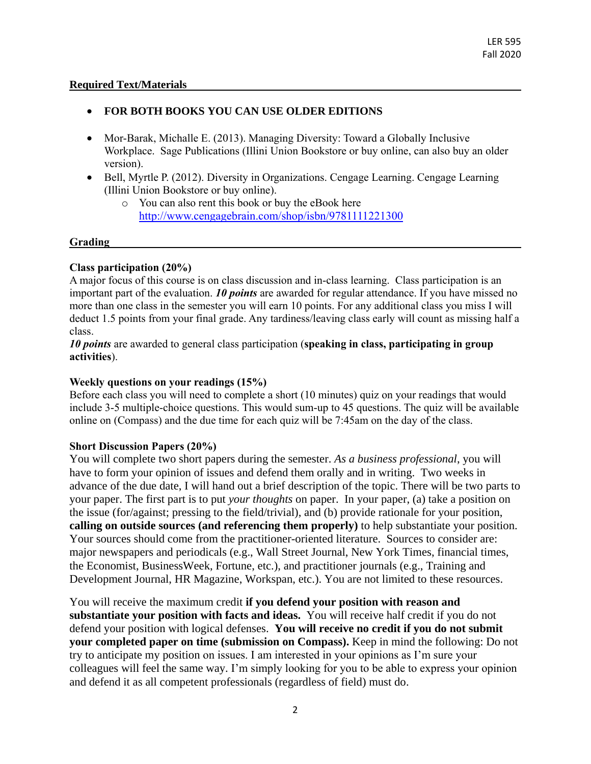### **Required Text/Materials**

### **FOR BOTH BOOKS YOU CAN USE OLDER EDITIONS**

- Mor-Barak, Michalle E. (2013). Managing Diversity: Toward a Globally Inclusive Workplace. Sage Publications (Illini Union Bookstore or buy online, can also buy an older version).
- Bell, Myrtle P. (2012). Diversity in Organizations. Cengage Learning. Cengage Learning (Illini Union Bookstore or buy online).
	- o You can also rent this book or buy the eBook here <http://www.cengagebrain.com/shop/isbn/9781111221300>

### **Grading**

### **Class participation (20%)**

A major focus of this course is on class discussion and in-class learning. Class participation is an important part of the evaluation. *10 points* are awarded for regular attendance. If you have missed no more than one class in the semester you will earn 10 points. For any additional class you miss I will deduct 1.5 points from your final grade. Any tardiness/leaving class early will count as missing half a class.

*10 points* are awarded to general class participation (**speaking in class, participating in group activities**).

### **Weekly questions on your readings (15%)**

Before each class you will need to complete a short (10 minutes) quiz on your readings that would include 3-5 multiple-choice questions. This would sum-up to 45 questions. The quiz will be available online on (Compass) and the due time for each quiz will be 7:45am on the day of the class.

### **Short Discussion Papers (20%)**

You will complete two short papers during the semester. *As a business professional*, you will have to form your opinion of issues and defend them orally and in writing. Two weeks in advance of the due date, I will hand out a brief description of the topic. There will be two parts to your paper. The first part is to put *your thoughts* on paper. In your paper, (a) take a position on the issue (for/against; pressing to the field/trivial), and (b) provide rationale for your position, **calling on outside sources (and referencing them properly)** to help substantiate your position. Your sources should come from the practitioner-oriented literature. Sources to consider are: major newspapers and periodicals (e.g., Wall Street Journal, New York Times, financial times, the Economist, BusinessWeek, Fortune, etc.), and practitioner journals (e.g., Training and Development Journal, HR Magazine, Workspan, etc.). You are not limited to these resources.

You will receive the maximum credit **if you defend your position with reason and substantiate your position with facts and ideas.** You will receive half credit if you do not defend your position with logical defenses. **You will receive no credit if you do not submit your completed paper on time (submission on Compass).** Keep in mind the following: Do not try to anticipate my position on issues. I am interested in your opinions as I'm sure your colleagues will feel the same way. I'm simply looking for you to be able to express your opinion and defend it as all competent professionals (regardless of field) must do.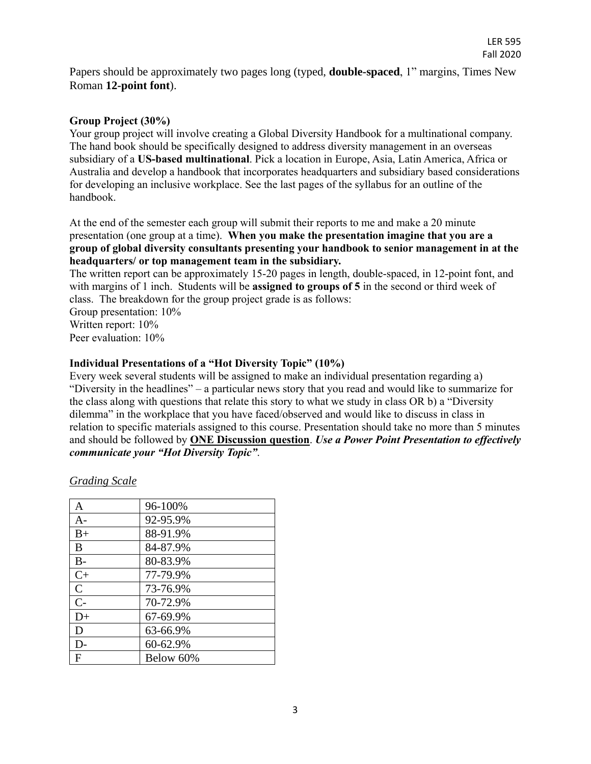Papers should be approximately two pages long (typed, **double-spaced**, 1" margins, Times New Roman **12-point font**).

#### **Group Project (30%)**

Your group project will involve creating a Global Diversity Handbook for a multinational company. The hand book should be specifically designed to address diversity management in an overseas subsidiary of a **US-based multinational**. Pick a location in Europe, Asia, Latin America, Africa or Australia and develop a handbook that incorporates headquarters and subsidiary based considerations for developing an inclusive workplace. See the last pages of the syllabus for an outline of the handbook.

At the end of the semester each group will submit their reports to me and make a 20 minute presentation (one group at a time). **When you make the presentation imagine that you are a group of global diversity consultants presenting your handbook to senior management in at the headquarters/ or top management team in the subsidiary.** 

The written report can be approximately 15-20 pages in length, double-spaced, in 12-point font, and with margins of 1 inch. Students will be **assigned to groups of 5** in the second or third week of class. The breakdown for the group project grade is as follows: Group presentation: 10%

Written report: 10%

Peer evaluation: 10%

#### **Individual Presentations of a "Hot Diversity Topic" (10%)**

Every week several students will be assigned to make an individual presentation regarding a) "Diversity in the headlines" – a particular news story that you read and would like to summarize for the class along with questions that relate this story to what we study in class OR b) a "Diversity dilemma" in the workplace that you have faced/observed and would like to discuss in class in relation to specific materials assigned to this course. Presentation should take no more than 5 minutes and should be followed by **ONE Discussion question**. *Use a Power Point Presentation to effectively communicate your "Hot Diversity Topic"*.

| A           | 96-100%   |
|-------------|-----------|
| $A -$       | 92-95.9%  |
| $B+$        | 88-91.9%  |
| B           | 84-87.9%  |
| $B-$        | 80-83.9%  |
| $C+$        | 77-79.9%  |
| $\mathbf C$ | 73-76.9%  |
| $C-$        | 70-72.9%  |
| $D+$        | 67-69.9%  |
| D           | 63-66.9%  |
| D-          | 60-62.9%  |
| F           | Below 60% |

*Grading Scale*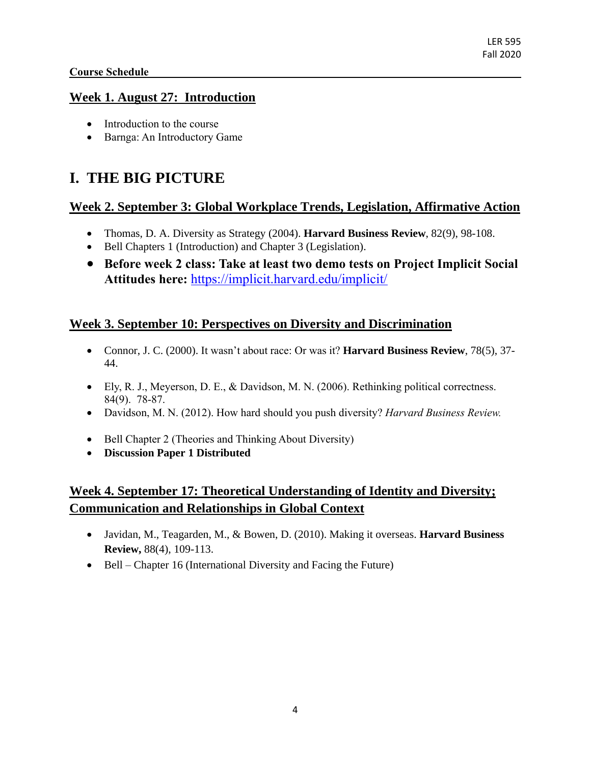### **Course Schedule**

### **Week 1. August 27: Introduction**

- Introduction to the course
- Barnga: An Introductory Game

# **I. THE BIG PICTURE**

### **Week 2. September 3: Global Workplace Trends, Legislation, Affirmative Action**

- Thomas, D. A. Diversity as Strategy (2004). **Harvard Business Review**, 82(9), 98-108.
- Bell Chapters 1 (Introduction) and Chapter 3 (Legislation).
- **Before week 2 class: Take at least two demo tests on Project Implicit Social Attitudes here:** <https://implicit.harvard.edu/implicit/>

### **Week 3. September 10: Perspectives on Diversity and Discrimination**

- Connor, J. C. (2000). It wasn't about race: Or was it? **Harvard Business Review**, 78(5), 37- 44.
- Ely, R. J., Meyerson, D. E., & Davidson, M. N. (2006). Rethinking political correctness. 84(9). 78-87.
- Davidson, M. N. (2012). How hard should you push diversity? *Harvard Business Review.*
- Bell Chapter 2 (Theories and Thinking About Diversity)
- **Discussion Paper 1 Distributed**

### **Week 4. September 17: Theoretical Understanding of Identity and Diversity; Communication and Relationships in Global Context**

- Javidan, M., Teagarden, M., & Bowen, D. (2010). Making it overseas. **Harvard Business Review,** 88(4), 109-113.
- Bell Chapter 16 (International Diversity and Facing the Future)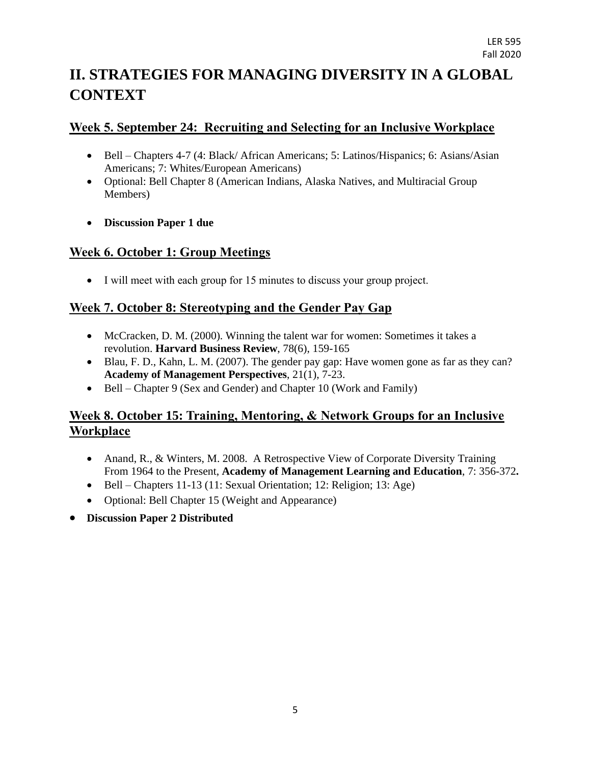# **II. STRATEGIES FOR MANAGING DIVERSITY IN A GLOBAL CONTEXT**

### **Week 5. September 24: Recruiting and Selecting for an Inclusive Workplace**

- Bell Chapters 4-7 (4: Black/ African Americans; 5: Latinos/Hispanics; 6: Asians/Asian Americans; 7: Whites/European Americans)
- Optional: Bell Chapter 8 (American Indians, Alaska Natives, and Multiracial Group Members)
- **Discussion Paper 1 due**

### **Week 6. October 1: Group Meetings**

I will meet with each group for 15 minutes to discuss your group project.

### **Week 7. October 8: Stereotyping and the Gender Pay Gap**

- McCracken, D. M. (2000). Winning the talent war for women: Sometimes it takes a revolution. **Harvard Business Review**, 78(6), 159-165
- Blau, F. D., Kahn, L. M. (2007). The gender pay gap: Have women gone as far as they can? **Academy of Management Perspectives**, 21(1), 7-23.
- Bell Chapter 9 (Sex and Gender) and Chapter 10 (Work and Family)

### **Week 8. October 15: Training, Mentoring, & Network Groups for an Inclusive Workplace**

- Anand, R., & Winters, M. 2008. A Retrospective View of Corporate Diversity Training From 1964 to the Present, **Academy of Management Learning and Education**, 7: 356-372**.**
- $\bullet$  Bell Chapters 11-13 (11: Sexual Orientation; 12: Religion; 13: Age)
- Optional: Bell Chapter 15 (Weight and Appearance)
- **Discussion Paper 2 Distributed**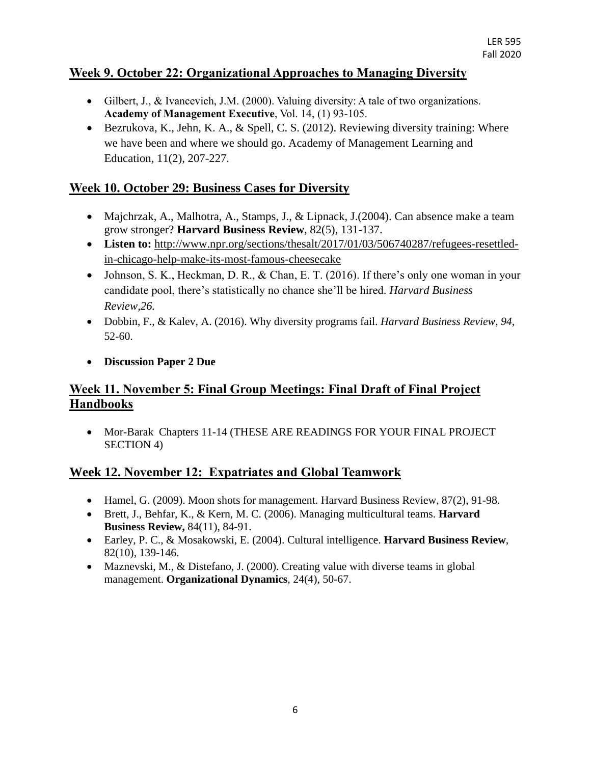### **Week 9. October 22: Organizational Approaches to Managing Diversity**

- Gilbert, J., & Ivancevich, J.M. (2000). Valuing diversity: A tale of two organizations. **Academy of Management Executive**, Vol. 14, (1) 93-105.
- Bezrukova, K., Jehn, K. A., & Spell, C. S. (2012). Reviewing diversity training: Where we have been and where we should go. Academy of Management Learning and Education, 11(2), 207-227.

### **Week 10. October 29: Business Cases for Diversity**

- Majchrzak, A., Malhotra, A., Stamps, J., & Lipnack, J.(2004). Can absence make a team grow stronger? **Harvard Business Review**, 82(5), 131-137.
- Listen to: [http://www.npr.org/sections/thesalt/2017/01/03/506740287/refugees-resettled](http://www.npr.org/sections/thesalt/2017/01/03/506740287/refugees-resettled-in-chicago-help-make-its-most-famous-cheesecake)[in-chicago-help-make-its-most-famous-cheesecake](http://www.npr.org/sections/thesalt/2017/01/03/506740287/refugees-resettled-in-chicago-help-make-its-most-famous-cheesecake)
- Johnson, S. K., Heckman, D. R., & Chan, E. T. (2016). If there's only one woman in your candidate pool, there's statistically no chance she'll be hired. *Harvard Business Review,26.*
- Dobbin, F., & Kalev, A. (2016). Why diversity programs fail. *Harvard Business Review, 94*, 52-60.
- **Discussion Paper 2 Due**

### **Week 11. November 5: Final Group Meetings: Final Draft of Final Project Handbooks**

 Mor-Barak Chapters 11-14 (THESE ARE READINGS FOR YOUR FINAL PROJECT SECTION 4)

### **Week 12. November 12: Expatriates and Global Teamwork**

- Hamel, G. (2009). Moon shots for management. Harvard Business Review, 87(2), 91-98.
- Brett, J., Behfar, K., & Kern, M. C. (2006). Managing multicultural teams. **Harvard Business Review,** 84(11), 84-91.
- Earley, P. C., & Mosakowski, E. (2004). Cultural intelligence. **Harvard Business Review**, 82(10), 139-146.
- Maznevski, M., & Distefano, J. (2000). Creating value with diverse teams in global management. **Organizational Dynamics***,* 24(4), 50-67.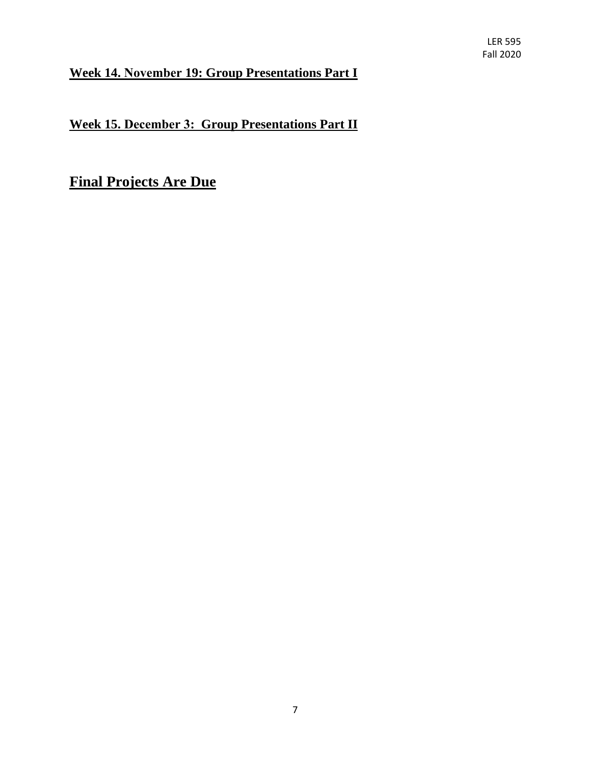## **Week 14. November 19: Group Presentations Part I**

**Week 15. December 3: Group Presentations Part II**

**Final Projects Are Due**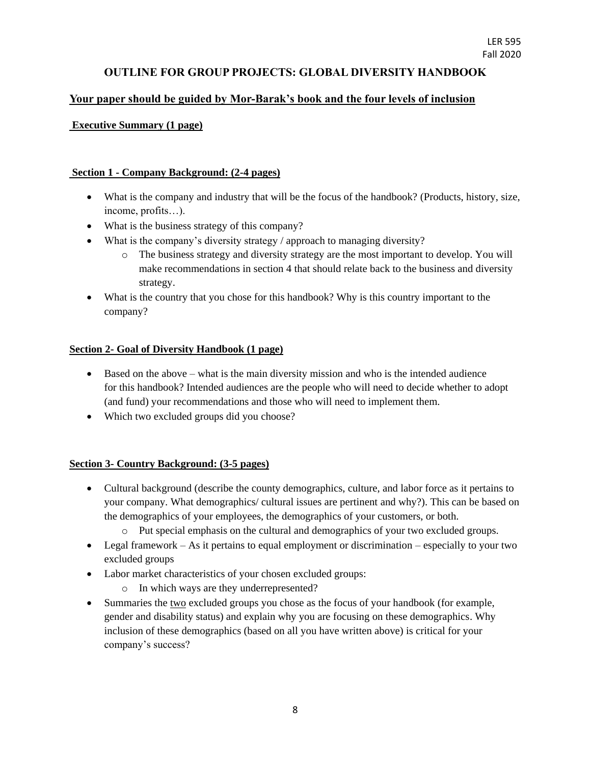### **OUTLINE FOR GROUP PROJECTS: GLOBAL DIVERSITY HANDBOOK**

#### **Your paper should be guided by Mor-Barak's book and the four levels of inclusion**

#### **Executive Summary (1 page)**

#### **Section 1 - Company Background: (2-4 pages)**

- What is the company and industry that will be the focus of the handbook? (Products, history, size, income, profits…).
- What is the business strategy of this company?
- What is the company's diversity strategy / approach to managing diversity?
	- o The business strategy and diversity strategy are the most important to develop. You will make recommendations in section 4 that should relate back to the business and diversity strategy.
- What is the country that you chose for this handbook? Why is this country important to the company?

#### **Section 2- Goal of Diversity Handbook (1 page)**

- $\bullet$  Based on the above what is the main diversity mission and who is the intended audience for this handbook? Intended audiences are the people who will need to decide whether to adopt (and fund) your recommendations and those who will need to implement them.
- Which two excluded groups did you choose?

#### **Section 3- Country Background: (3-5 pages)**

- Cultural background (describe the county demographics, culture, and labor force as it pertains to your company. What demographics/ cultural issues are pertinent and why?). This can be based on the demographics of your employees, the demographics of your customers, or both.
	- o Put special emphasis on the cultural and demographics of your two excluded groups.
- $\bullet$  Legal framework As it pertains to equal employment or discrimination especially to your two excluded groups
- Labor market characteristics of your chosen excluded groups:
	- o In which ways are they underrepresented?
- Summaries the two excluded groups you chose as the focus of your handbook (for example, gender and disability status) and explain why you are focusing on these demographics. Why inclusion of these demographics (based on all you have written above) is critical for your company's success?